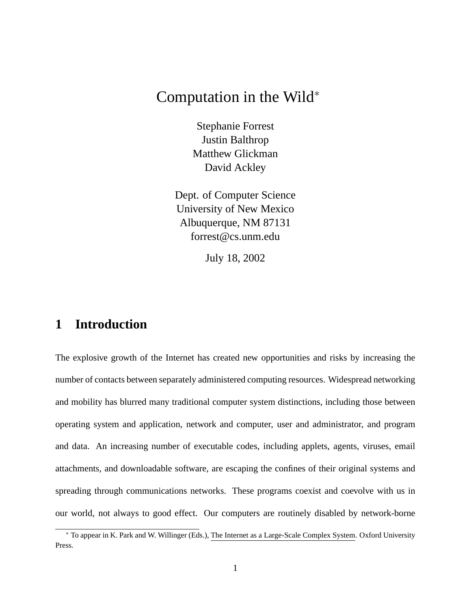# Computation in the Wild<sup>∗</sup>

Stephanie Forrest Justin Balthrop Matthew Glickman David Ackley

Dept. of Computer Science University of New Mexico Albuquerque, NM 87131 forrest@cs.unm.edu

July 18, 2002

## **1 Introduction**

The explosive growth of the Internet has created new opportunities and risks by increasing the number of contacts between separately administered computing resources. Widespread networking and mobility has blurred many traditional computer system distinctions, including those between operating system and application, network and computer, user and administrator, and program and data. An increasing number of executable codes, including applets, agents, viruses, email attachments, and downloadable software, are escaping the confines of their original systems and spreading through communications networks. These programs coexist and coevolve with us in our world, not always to good effect. Our computers are routinely disabled by network-borne

<sup>∗</sup> To appear in K. Park and W. Willinger (Eds.), The Internet as a Large-Scale Complex System. Oxford University Press.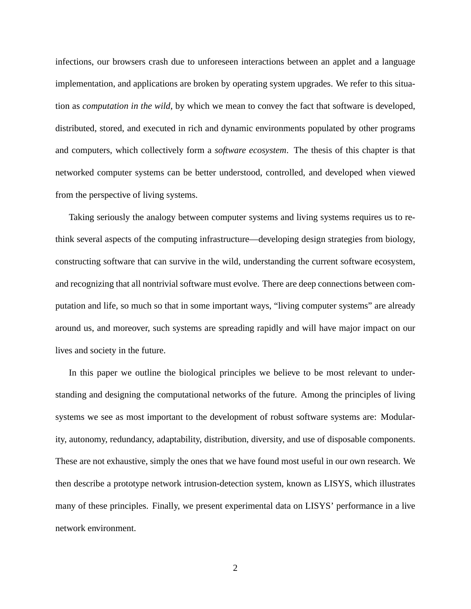infections, our browsers crash due to unforeseen interactions between an applet and a language implementation, and applications are broken by operating system upgrades. We refer to this situation as *computation in the wild*, by which we mean to convey the fact that software is developed, distributed, stored, and executed in rich and dynamic environments populated by other programs and computers, which collectively form a *software ecosystem*. The thesis of this chapter is that networked computer systems can be better understood, controlled, and developed when viewed from the perspective of living systems.

Taking seriously the analogy between computer systems and living systems requires us to rethink several aspects of the computing infrastructure—developing design strategies from biology, constructing software that can survive in the wild, understanding the current software ecosystem, and recognizing that all nontrivial software must evolve. There are deep connections between computation and life, so much so that in some important ways, "living computer systems" are already around us, and moreover, such systems are spreading rapidly and will have major impact on our lives and society in the future.

In this paper we outline the biological principles we believe to be most relevant to understanding and designing the computational networks of the future. Among the principles of living systems we see as most important to the development of robust software systems are: Modularity, autonomy, redundancy, adaptability, distribution, diversity, and use of disposable components. These are not exhaustive, simply the ones that we have found most useful in our own research. We then describe a prototype network intrusion-detection system, known as LISYS, which illustrates many of these principles. Finally, we present experimental data on LISYS' performance in a live network environment.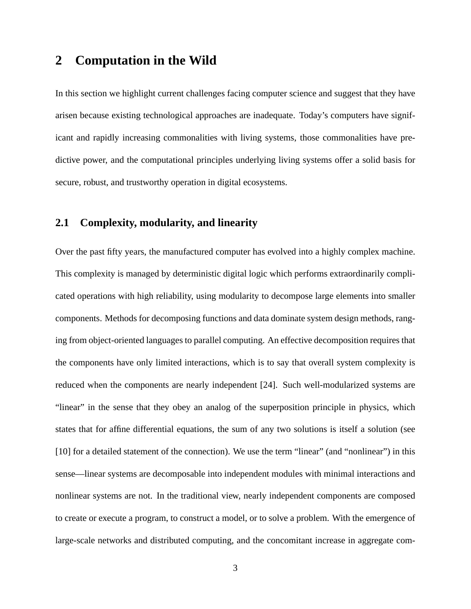### **2 Computation in the Wild**

In this section we highlight current challenges facing computer science and suggest that they have arisen because existing technological approaches are inadequate. Today's computers have significant and rapidly increasing commonalities with living systems, those commonalities have predictive power, and the computational principles underlying living systems offer a solid basis for secure, robust, and trustworthy operation in digital ecosystems.

#### **2.1 Complexity, modularity, and linearity**

Over the past fifty years, the manufactured computer has evolved into a highly complex machine. This complexity is managed by deterministic digital logic which performs extraordinarily complicated operations with high reliability, using modularity to decompose large elements into smaller components. Methods for decomposing functions and data dominate system design methods, ranging from object-oriented languages to parallel computing. An effective decomposition requires that the components have only limited interactions, which is to say that overall system complexity is reduced when the components are nearly independent [24]. Such well-modularized systems are "linear" in the sense that they obey an analog of the superposition principle in physics, which states that for affine differential equations, the sum of any two solutions is itself a solution (see [10] for a detailed statement of the connection). We use the term "linear" (and "nonlinear") in this sense—linear systems are decomposable into independent modules with minimal interactions and nonlinear systems are not. In the traditional view, nearly independent components are composed to create or execute a program, to construct a model, or to solve a problem. With the emergence of large-scale networks and distributed computing, and the concomitant increase in aggregate com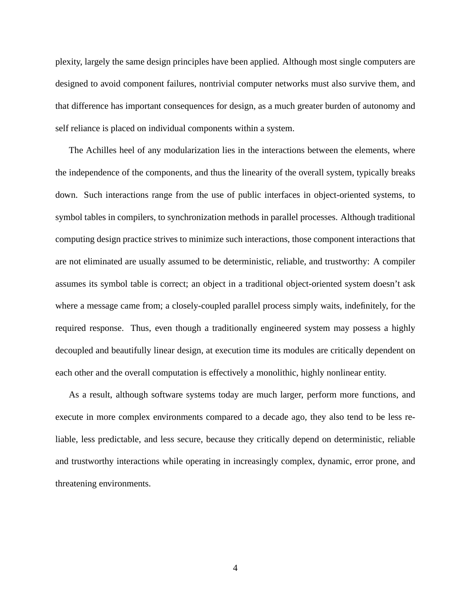plexity, largely the same design principles have been applied. Although most single computers are designed to avoid component failures, nontrivial computer networks must also survive them, and that difference has important consequences for design, as a much greater burden of autonomy and self reliance is placed on individual components within a system.

The Achilles heel of any modularization lies in the interactions between the elements, where the independence of the components, and thus the linearity of the overall system, typically breaks down. Such interactions range from the use of public interfaces in object-oriented systems, to symbol tables in compilers, to synchronization methods in parallel processes. Although traditional computing design practice strives to minimize such interactions, those component interactions that are not eliminated are usually assumed to be deterministic, reliable, and trustworthy: A compiler assumes its symbol table is correct; an object in a traditional object-oriented system doesn't ask where a message came from; a closely-coupled parallel process simply waits, indefinitely, for the required response. Thus, even though a traditionally engineered system may possess a highly decoupled and beautifully linear design, at execution time its modules are critically dependent on each other and the overall computation is effectively a monolithic, highly nonlinear entity.

As a result, although software systems today are much larger, perform more functions, and execute in more complex environments compared to a decade ago, they also tend to be less reliable, less predictable, and less secure, because they critically depend on deterministic, reliable and trustworthy interactions while operating in increasingly complex, dynamic, error prone, and threatening environments.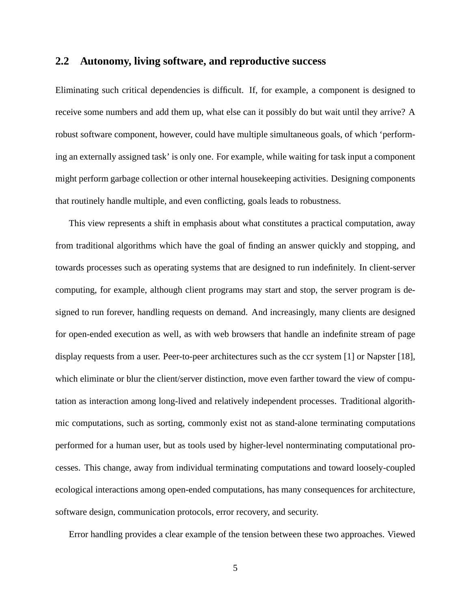#### **2.2 Autonomy, living software, and reproductive success**

Eliminating such critical dependencies is difficult. If, for example, a component is designed to receive some numbers and add them up, what else can it possibly do but wait until they arrive? A robust software component, however, could have multiple simultaneous goals, of which 'performing an externally assigned task' is only one. For example, while waiting for task input a component might perform garbage collection or other internal housekeeping activities. Designing components that routinely handle multiple, and even conflicting, goals leads to robustness.

This view represents a shift in emphasis about what constitutes a practical computation, away from traditional algorithms which have the goal of finding an answer quickly and stopping, and towards processes such as operating systems that are designed to run indefinitely. In client-server computing, for example, although client programs may start and stop, the server program is designed to run forever, handling requests on demand. And increasingly, many clients are designed for open-ended execution as well, as with web browsers that handle an indefinite stream of page display requests from a user. Peer-to-peer architectures such as the ccr system [1] or Napster [18], which eliminate or blur the client/server distinction, move even farther toward the view of computation as interaction among long-lived and relatively independent processes. Traditional algorithmic computations, such as sorting, commonly exist not as stand-alone terminating computations performed for a human user, but as tools used by higher-level nonterminating computational processes. This change, away from individual terminating computations and toward loosely-coupled ecological interactions among open-ended computations, has many consequences for architecture, software design, communication protocols, error recovery, and security.

Error handling provides a clear example of the tension between these two approaches. Viewed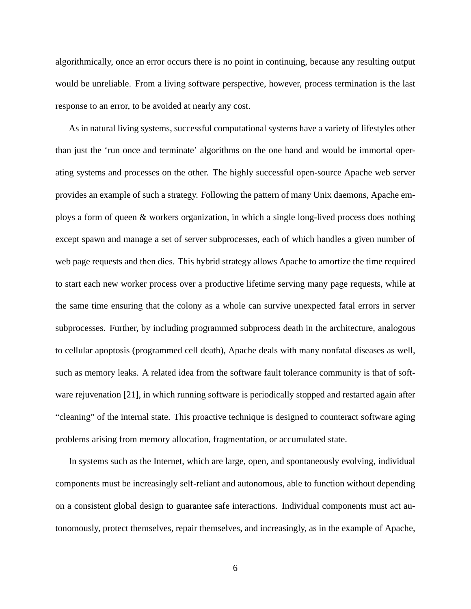algorithmically, once an error occurs there is no point in continuing, because any resulting output would be unreliable. From a living software perspective, however, process termination is the last response to an error, to be avoided at nearly any cost.

As in natural living systems, successful computational systems have a variety of lifestyles other than just the 'run once and terminate' algorithms on the one hand and would be immortal operating systems and processes on the other. The highly successful open-source Apache web server provides an example of such a strategy. Following the pattern of many Unix daemons, Apache employs a form of queen & workers organization, in which a single long-lived process does nothing except spawn and manage a set of server subprocesses, each of which handles a given number of web page requests and then dies. This hybrid strategy allows Apache to amortize the time required to start each new worker process over a productive lifetime serving many page requests, while at the same time ensuring that the colony as a whole can survive unexpected fatal errors in server subprocesses. Further, by including programmed subprocess death in the architecture, analogous to cellular apoptosis (programmed cell death), Apache deals with many nonfatal diseases as well, such as memory leaks. A related idea from the software fault tolerance community is that of software rejuvenation [21], in which running software is periodically stopped and restarted again after "cleaning" of the internal state. This proactive technique is designed to counteract software aging problems arising from memory allocation, fragmentation, or accumulated state.

In systems such as the Internet, which are large, open, and spontaneously evolving, individual components must be increasingly self-reliant and autonomous, able to function without depending on a consistent global design to guarantee safe interactions. Individual components must act autonomously, protect themselves, repair themselves, and increasingly, as in the example of Apache,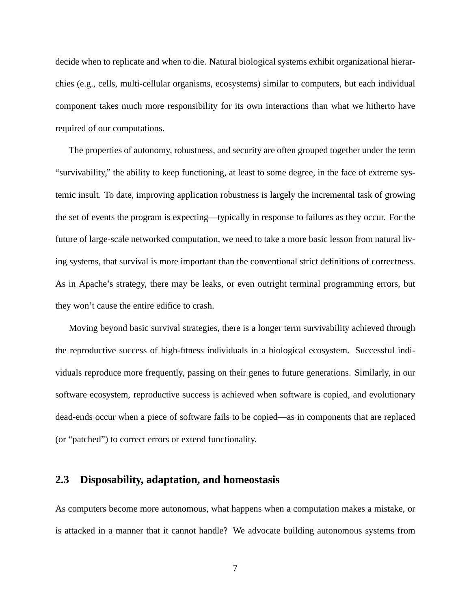decide when to replicate and when to die. Natural biological systems exhibit organizational hierarchies (e.g., cells, multi-cellular organisms, ecosystems) similar to computers, but each individual component takes much more responsibility for its own interactions than what we hitherto have required of our computations.

The properties of autonomy, robustness, and security are often grouped together under the term "survivability," the ability to keep functioning, at least to some degree, in the face of extreme systemic insult. To date, improving application robustness is largely the incremental task of growing the set of events the program is expecting—typically in response to failures as they occur. For the future of large-scale networked computation, we need to take a more basic lesson from natural living systems, that survival is more important than the conventional strict definitions of correctness. As in Apache's strategy, there may be leaks, or even outright terminal programming errors, but they won't cause the entire edifice to crash.

Moving beyond basic survival strategies, there is a longer term survivability achieved through the reproductive success of high-fitness individuals in a biological ecosystem. Successful individuals reproduce more frequently, passing on their genes to future generations. Similarly, in our software ecosystem, reproductive success is achieved when software is copied, and evolutionary dead-ends occur when a piece of software fails to be copied—as in components that are replaced (or "patched") to correct errors or extend functionality.

#### **2.3 Disposability, adaptation, and homeostasis**

As computers become more autonomous, what happens when a computation makes a mistake, or is attacked in a manner that it cannot handle? We advocate building autonomous systems from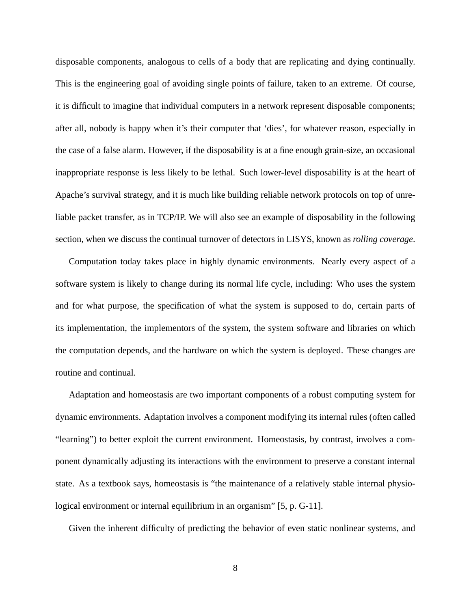disposable components, analogous to cells of a body that are replicating and dying continually. This is the engineering goal of avoiding single points of failure, taken to an extreme. Of course, it is difficult to imagine that individual computers in a network represent disposable components; after all, nobody is happy when it's their computer that 'dies', for whatever reason, especially in the case of a false alarm. However, if the disposability is at a fine enough grain-size, an occasional inappropriate response is less likely to be lethal. Such lower-level disposability is at the heart of Apache's survival strategy, and it is much like building reliable network protocols on top of unreliable packet transfer, as in TCP/IP. We will also see an example of disposability in the following section, when we discuss the continual turnover of detectors in LISYS, known as *rolling coverage*.

Computation today takes place in highly dynamic environments. Nearly every aspect of a software system is likely to change during its normal life cycle, including: Who uses the system and for what purpose, the specification of what the system is supposed to do, certain parts of its implementation, the implementors of the system, the system software and libraries on which the computation depends, and the hardware on which the system is deployed. These changes are routine and continual.

Adaptation and homeostasis are two important components of a robust computing system for dynamic environments. Adaptation involves a component modifying its internal rules (often called "learning") to better exploit the current environment. Homeostasis, by contrast, involves a component dynamically adjusting its interactions with the environment to preserve a constant internal state. As a textbook says, homeostasis is "the maintenance of a relatively stable internal physiological environment or internal equilibrium in an organism" [5, p. G-11].

Given the inherent difficulty of predicting the behavior of even static nonlinear systems, and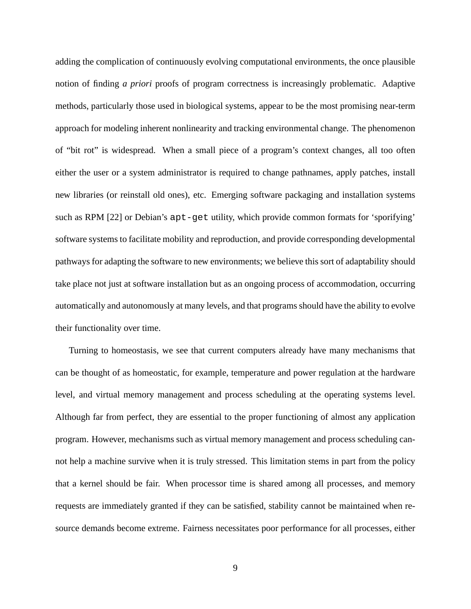adding the complication of continuously evolving computational environments, the once plausible notion of finding *a priori* proofs of program correctness is increasingly problematic. Adaptive methods, particularly those used in biological systems, appear to be the most promising near-term approach for modeling inherent nonlinearity and tracking environmental change. The phenomenon of "bit rot" is widespread. When a small piece of a program's context changes, all too often either the user or a system administrator is required to change pathnames, apply patches, install new libraries (or reinstall old ones), etc. Emerging software packaging and installation systems such as RPM [22] or Debian's apt-get utility, which provide common formats for 'sporifying' software systems to facilitate mobility and reproduction, and provide corresponding developmental pathways for adapting the software to new environments; we believe this sort of adaptability should take place not just at software installation but as an ongoing process of accommodation, occurring automatically and autonomously at many levels, and that programs should have the ability to evolve their functionality over time.

Turning to homeostasis, we see that current computers already have many mechanisms that can be thought of as homeostatic, for example, temperature and power regulation at the hardware level, and virtual memory management and process scheduling at the operating systems level. Although far from perfect, they are essential to the proper functioning of almost any application program. However, mechanisms such as virtual memory management and process scheduling cannot help a machine survive when it is truly stressed. This limitation stems in part from the policy that a kernel should be fair. When processor time is shared among all processes, and memory requests are immediately granted if they can be satisfied, stability cannot be maintained when resource demands become extreme. Fairness necessitates poor performance for all processes, either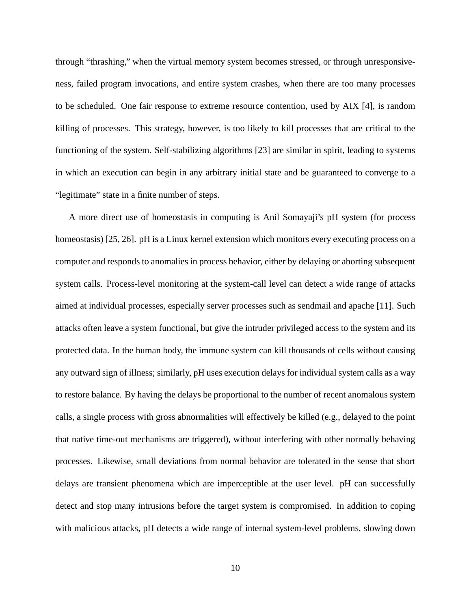through "thrashing," when the virtual memory system becomes stressed, or through unresponsiveness, failed program invocations, and entire system crashes, when there are too many processes to be scheduled. One fair response to extreme resource contention, used by AIX [4], is random killing of processes. This strategy, however, is too likely to kill processes that are critical to the functioning of the system. Self-stabilizing algorithms [23] are similar in spirit, leading to systems in which an execution can begin in any arbitrary initial state and be guaranteed to converge to a "legitimate" state in a finite number of steps.

A more direct use of homeostasis in computing is Anil Somayaji's pH system (for process homeostasis) [25, 26]. pH is a Linux kernel extension which monitors every executing process on a computer and responds to anomalies in process behavior, either by delaying or aborting subsequent system calls. Process-level monitoring at the system-call level can detect a wide range of attacks aimed at individual processes, especially server processes such as sendmail and apache [11]. Such attacks often leave a system functional, but give the intruder privileged access to the system and its protected data. In the human body, the immune system can kill thousands of cells without causing any outward sign of illness; similarly, pH uses execution delays for individual system calls as a way to restore balance. By having the delays be proportional to the number of recent anomalous system calls, a single process with gross abnormalities will effectively be killed (e.g., delayed to the point that native time-out mechanisms are triggered), without interfering with other normally behaving processes. Likewise, small deviations from normal behavior are tolerated in the sense that short delays are transient phenomena which are imperceptible at the user level. pH can successfully detect and stop many intrusions before the target system is compromised. In addition to coping with malicious attacks, pH detects a wide range of internal system-level problems, slowing down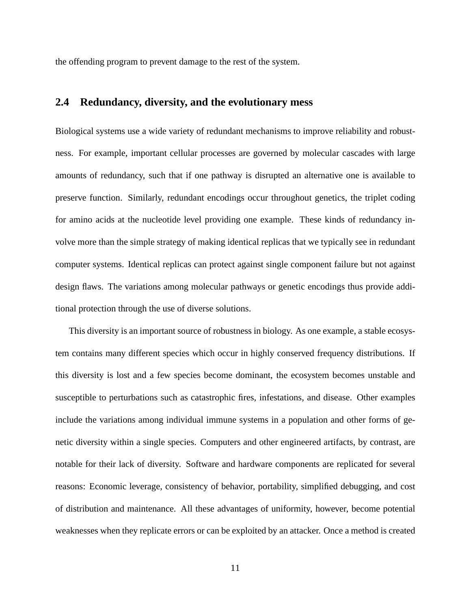the offending program to prevent damage to the rest of the system.

#### **2.4 Redundancy, diversity, and the evolutionary mess**

Biological systems use a wide variety of redundant mechanisms to improve reliability and robustness. For example, important cellular processes are governed by molecular cascades with large amounts of redundancy, such that if one pathway is disrupted an alternative one is available to preserve function. Similarly, redundant encodings occur throughout genetics, the triplet coding for amino acids at the nucleotide level providing one example. These kinds of redundancy involve more than the simple strategy of making identical replicas that we typically see in redundant computer systems. Identical replicas can protect against single component failure but not against design flaws. The variations among molecular pathways or genetic encodings thus provide additional protection through the use of diverse solutions.

This diversity is an important source of robustness in biology. As one example, a stable ecosystem contains many different species which occur in highly conserved frequency distributions. If this diversity is lost and a few species become dominant, the ecosystem becomes unstable and susceptible to perturbations such as catastrophic fires, infestations, and disease. Other examples include the variations among individual immune systems in a population and other forms of genetic diversity within a single species. Computers and other engineered artifacts, by contrast, are notable for their lack of diversity. Software and hardware components are replicated for several reasons: Economic leverage, consistency of behavior, portability, simplified debugging, and cost of distribution and maintenance. All these advantages of uniformity, however, become potential weaknesses when they replicate errors or can be exploited by an attacker. Once a method is created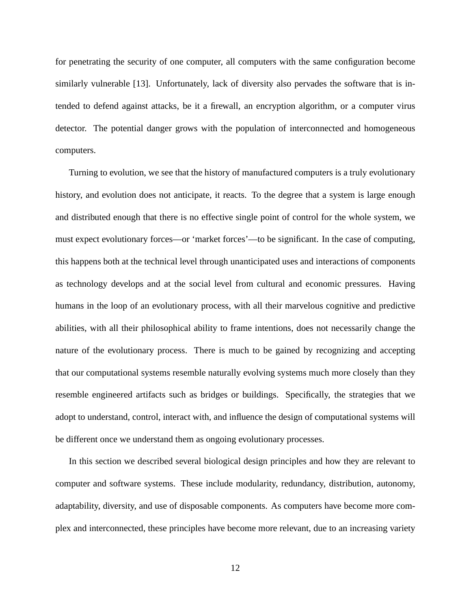for penetrating the security of one computer, all computers with the same configuration become similarly vulnerable [13]. Unfortunately, lack of diversity also pervades the software that is intended to defend against attacks, be it a firewall, an encryption algorithm, or a computer virus detector. The potential danger grows with the population of interconnected and homogeneous computers.

Turning to evolution, we see that the history of manufactured computers is a truly evolutionary history, and evolution does not anticipate, it reacts. To the degree that a system is large enough and distributed enough that there is no effective single point of control for the whole system, we must expect evolutionary forces—or 'market forces'—to be significant. In the case of computing, this happens both at the technical level through unanticipated uses and interactions of components as technology develops and at the social level from cultural and economic pressures. Having humans in the loop of an evolutionary process, with all their marvelous cognitive and predictive abilities, with all their philosophical ability to frame intentions, does not necessarily change the nature of the evolutionary process. There is much to be gained by recognizing and accepting that our computational systems resemble naturally evolving systems much more closely than they resemble engineered artifacts such as bridges or buildings. Specifically, the strategies that we adopt to understand, control, interact with, and influence the design of computational systems will be different once we understand them as ongoing evolutionary processes.

In this section we described several biological design principles and how they are relevant to computer and software systems. These include modularity, redundancy, distribution, autonomy, adaptability, diversity, and use of disposable components. As computers have become more complex and interconnected, these principles have become more relevant, due to an increasing variety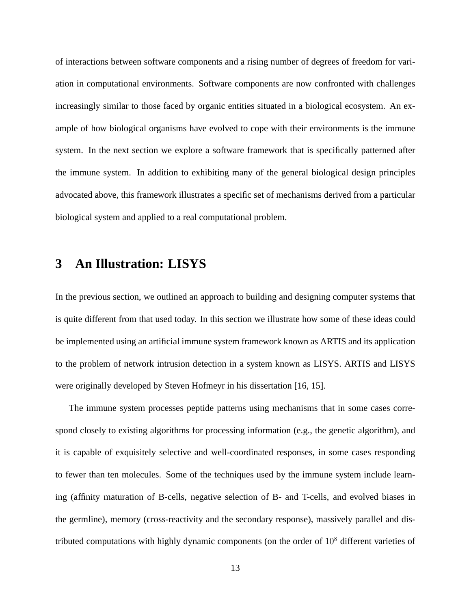of interactions between software components and a rising number of degrees of freedom for variation in computational environments. Software components are now confronted with challenges increasingly similar to those faced by organic entities situated in a biological ecosystem. An example of how biological organisms have evolved to cope with their environments is the immune system. In the next section we explore a software framework that is specifically patterned after the immune system. In addition to exhibiting many of the general biological design principles advocated above, this framework illustrates a specific set of mechanisms derived from a particular biological system and applied to a real computational problem.

## **3 An Illustration: LISYS**

In the previous section, we outlined an approach to building and designing computer systems that is quite different from that used today. In this section we illustrate how some of these ideas could be implemented using an artificial immune system framework known as ARTIS and its application to the problem of network intrusion detection in a system known as LISYS. ARTIS and LISYS were originally developed by Steven Hofmeyr in his dissertation [16, 15].

The immune system processes peptide patterns using mechanisms that in some cases correspond closely to existing algorithms for processing information (e.g., the genetic algorithm), and it is capable of exquisitely selective and well-coordinated responses, in some cases responding to fewer than ten molecules. Some of the techniques used by the immune system include learning (affinity maturation of B-cells, negative selection of B- and T-cells, and evolved biases in the germline), memory (cross-reactivity and the secondary response), massively parallel and distributed computations with highly dynamic components (on the order of 10<sup>8</sup> different varieties of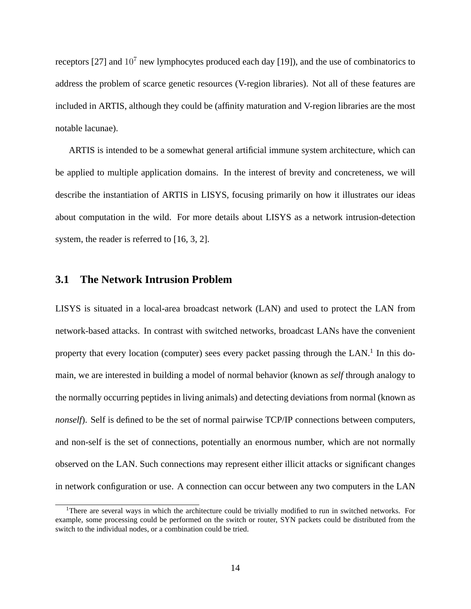receptors  $[27]$  and  $10^7$  new lymphocytes produced each day  $[19]$ ), and the use of combinatorics to address the problem of scarce genetic resources (V-region libraries). Not all of these features are included in ARTIS, although they could be (affinity maturation and V-region libraries are the most notable lacunae).

ARTIS is intended to be a somewhat general artificial immune system architecture, which can be applied to multiple application domains. In the interest of brevity and concreteness, we will describe the instantiation of ARTIS in LISYS, focusing primarily on how it illustrates our ideas about computation in the wild. For more details about LISYS as a network intrusion-detection system, the reader is referred to [16, 3, 2].

#### **3.1 The Network Intrusion Problem**

LISYS is situated in a local-area broadcast network (LAN) and used to protect the LAN from network-based attacks. In contrast with switched networks, broadcast LANs have the convenient property that every location (computer) sees every packet passing through the LAN.<sup>1</sup> In this domain, we are interested in building a model of normal behavior (known as *self* through analogy to the normally occurring peptides in living animals) and detecting deviations from normal (known as *nonself*). Self is defined to be the set of normal pairwise TCP/IP connections between computers, and non-self is the set of connections, potentially an enormous number, which are not normally observed on the LAN. Such connections may represent either illicit attacks or significant changes in network configuration or use. A connection can occur between any two computers in the LAN

<sup>&</sup>lt;sup>1</sup>There are several ways in which the architecture could be trivially modified to run in switched networks. For example, some processing could be performed on the switch or router, SYN packets could be distributed from the switch to the individual nodes, or a combination could be tried.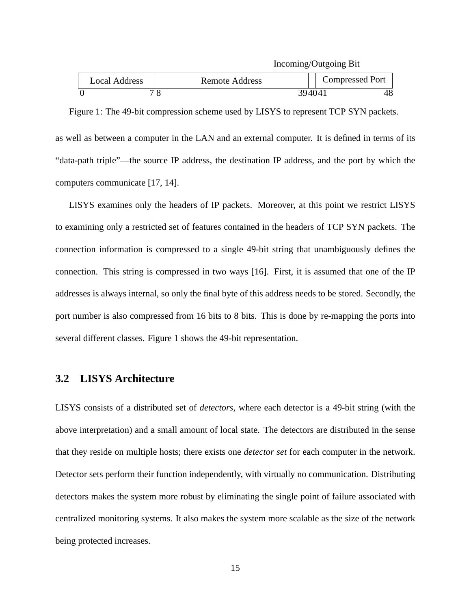|   | Local Address | <b>Remote Address</b> | <b>Compressed Port</b> |
|---|---------------|-----------------------|------------------------|
| ⌒ |               |                       | 394041                 |

Incoming/Outgoing Bit

Figure 1: The 49-bit compression scheme used by LISYS to represent TCP SYN packets.

as well as between a computer in the LAN and an external computer. It is defined in terms of its "data-path triple"—the source IP address, the destination IP address, and the port by which the computers communicate [17, 14].

LISYS examines only the headers of IP packets. Moreover, at this point we restrict LISYS to examining only a restricted set of features contained in the headers of TCP SYN packets. The connection information is compressed to a single 49-bit string that unambiguously defines the connection. This string is compressed in two ways [16]. First, it is assumed that one of the IP addresses is always internal, so only the final byte of this address needs to be stored. Secondly, the port number is also compressed from 16 bits to 8 bits. This is done by re-mapping the ports into several different classes. Figure 1 shows the 49-bit representation.

#### **3.2 LISYS Architecture**

LISYS consists of a distributed set of *detectors*, where each detector is a 49-bit string (with the above interpretation) and a small amount of local state. The detectors are distributed in the sense that they reside on multiple hosts; there exists one *detector set* for each computer in the network. Detector sets perform their function independently, with virtually no communication. Distributing detectors makes the system more robust by eliminating the single point of failure associated with centralized monitoring systems. It also makes the system more scalable as the size of the network being protected increases.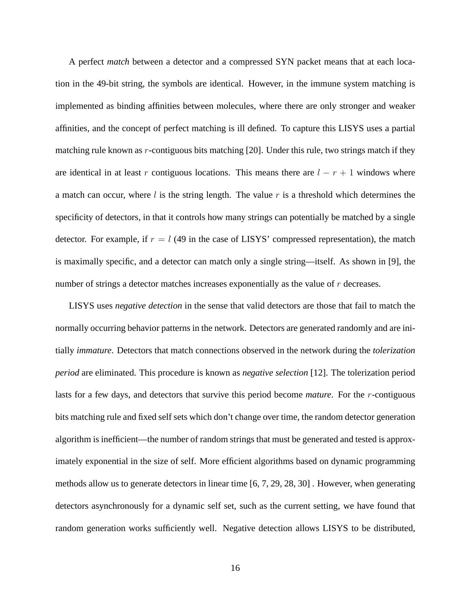A perfect *match* between a detector and a compressed SYN packet means that at each location in the 49-bit string, the symbols are identical. However, in the immune system matching is implemented as binding affinities between molecules, where there are only stronger and weaker affinities, and the concept of perfect matching is ill defined. To capture this LISYS uses a partial matching rule known as  $r$ -contiguous bits matching [20]. Under this rule, two strings match if they are identical in at least r contiguous locations. This means there are  $l - r + 1$  windows where a match can occur, where  $l$  is the string length. The value  $r$  is a threshold which determines the specificity of detectors, in that it controls how many strings can potentially be matched by a single detector. For example, if  $r = l$  (49 in the case of LISYS' compressed representation), the match is maximally specific, and a detector can match only a single string—itself. As shown in [9], the number of strings a detector matches increases exponentially as the value of r decreases.

LISYS uses *negative detection* in the sense that valid detectors are those that fail to match the normally occurring behavior patterns in the network. Detectors are generated randomly and are initially *immature*. Detectors that match connections observed in the network during the *tolerization period* are eliminated. This procedure is known as *negative selection* [12]. The tolerization period lasts for a few days, and detectors that survive this period become *mature*. For the r-contiguous bits matching rule and fixed self sets which don't change over time, the random detector generation algorithm is inefficient—the number of random strings that must be generated and tested is approximately exponential in the size of self. More efficient algorithms based on dynamic programming methods allow us to generate detectors in linear time [6, 7, 29, 28, 30] . However, when generating detectors asynchronously for a dynamic self set, such as the current setting, we have found that random generation works sufficiently well. Negative detection allows LISYS to be distributed,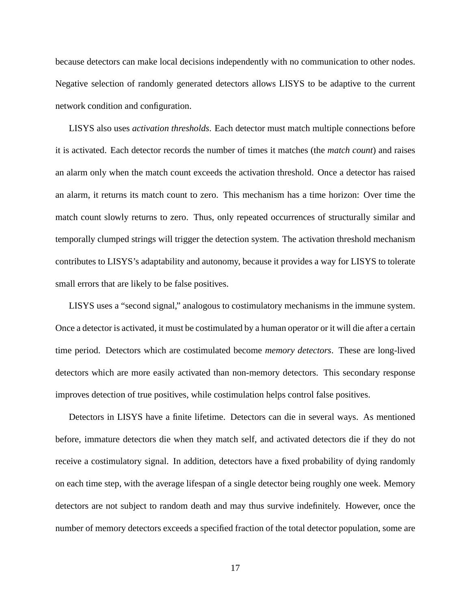because detectors can make local decisions independently with no communication to other nodes. Negative selection of randomly generated detectors allows LISYS to be adaptive to the current network condition and configuration.

LISYS also uses *activation thresholds*. Each detector must match multiple connections before it is activated. Each detector records the number of times it matches (the *match count*) and raises an alarm only when the match count exceeds the activation threshold. Once a detector has raised an alarm, it returns its match count to zero. This mechanism has a time horizon: Over time the match count slowly returns to zero. Thus, only repeated occurrences of structurally similar and temporally clumped strings will trigger the detection system. The activation threshold mechanism contributes to LISYS's adaptability and autonomy, because it provides a way for LISYS to tolerate small errors that are likely to be false positives.

LISYS uses a "second signal," analogous to costimulatory mechanisms in the immune system. Once a detector is activated, it must be costimulated by a human operator or it will die after a certain time period. Detectors which are costimulated become *memory detectors*. These are long-lived detectors which are more easily activated than non-memory detectors. This secondary response improves detection of true positives, while costimulation helps control false positives.

Detectors in LISYS have a finite lifetime. Detectors can die in several ways. As mentioned before, immature detectors die when they match self, and activated detectors die if they do not receive a costimulatory signal. In addition, detectors have a fixed probability of dying randomly on each time step, with the average lifespan of a single detector being roughly one week. Memory detectors are not subject to random death and may thus survive indefinitely. However, once the number of memory detectors exceeds a specified fraction of the total detector population, some are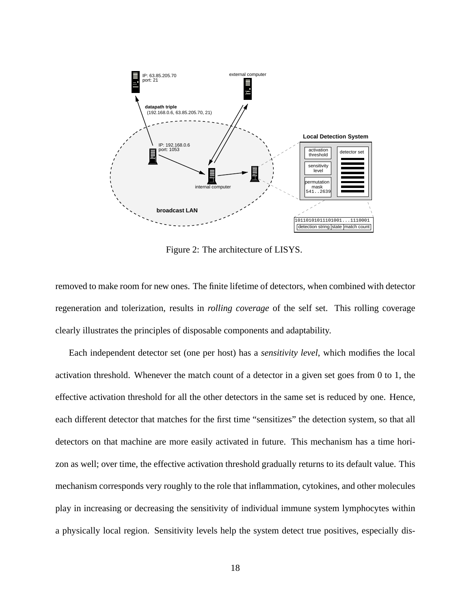

Figure 2: The architecture of LISYS.

removed to make room for new ones. The finite lifetime of detectors, when combined with detector regeneration and tolerization, results in *rolling coverage* of the self set. This rolling coverage clearly illustrates the principles of disposable components and adaptability.

Each independent detector set (one per host) has a *sensitivity level*, which modifies the local activation threshold. Whenever the match count of a detector in a given set goes from 0 to 1, the effective activation threshold for all the other detectors in the same set is reduced by one. Hence, each different detector that matches for the first time "sensitizes" the detection system, so that all detectors on that machine are more easily activated in future. This mechanism has a time horizon as well; over time, the effective activation threshold gradually returns to its default value. This mechanism corresponds very roughly to the role that inflammation, cytokines, and other molecules play in increasing or decreasing the sensitivity of individual immune system lymphocytes within a physically local region. Sensitivity levels help the system detect true positives, especially dis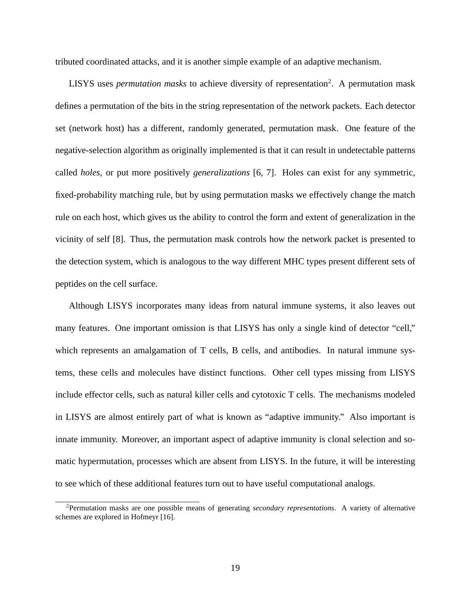tributed coordinated attacks, and it is another simple example of an adaptive mechanism.

LISYS uses *permutation masks* to achieve diversity of representation<sup>2</sup>. A permutation mask defines a permutation of the bits in the string representation of the network packets. Each detector set (network host) has a different, randomly generated, permutation mask. One feature of the negative-selection algorithm as originally implemented is that it can result in undetectable patterns called *holes*, or put more positively *generalizations* [6, 7]. Holes can exist for any symmetric, fixed-probability matching rule, but by using permutation masks we effectively change the match rule on each host, which gives us the ability to control the form and extent of generalization in the vicinity of self [8]. Thus, the permutation mask controls how the network packet is presented to the detection system, which is analogous to the way different MHC types present different sets of peptides on the cell surface.

Although LISYS incorporates many ideas from natural immune systems, it also leaves out many features. One important omission is that LISYS has only a single kind of detector "cell," which represents an amalgamation of T cells, B cells, and antibodies. In natural immune systems, these cells and molecules have distinct functions. Other cell types missing from LISYS include effector cells, such as natural killer cells and cytotoxic T cells. The mechanisms modeled in LISYS are almost entirely part of what is known as "adaptive immunity." Also important is innate immunity. Moreover, an important aspect of adaptive immunity is clonal selection and somatic hypermutation, processes which are absent from LISYS. In the future, it will be interesting to see which of these additional features turn out to have useful computational analogs.

<sup>2</sup>Permutation masks are one possible means of generating *secondary representations*. A variety of alternative schemes are explored in Hofmeyr [16].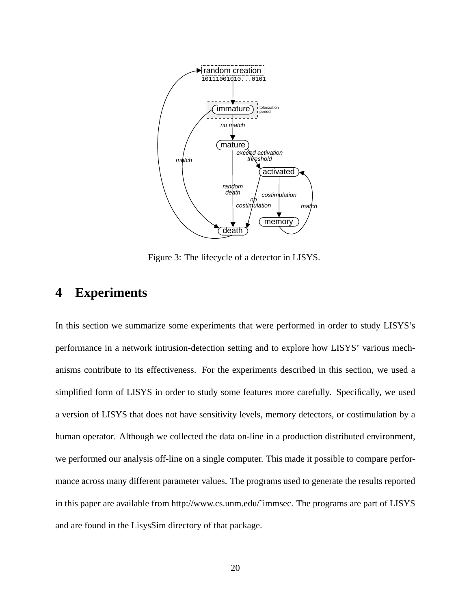

Figure 3: The lifecycle of a detector in LISYS.

## **4 Experiments**

In this section we summarize some experiments that were performed in order to study LISYS's performance in a network intrusion-detection setting and to explore how LISYS' various mechanisms contribute to its effectiveness. For the experiments described in this section, we used a simplified form of LISYS in order to study some features more carefully. Specifically, we used a version of LISYS that does not have sensitivity levels, memory detectors, or costimulation by a human operator. Although we collected the data on-line in a production distributed environment, we performed our analysis off-line on a single computer. This made it possible to compare performance across many different parameter values. The programs used to generate the results reported in this paper are available from http://www.cs.unm.edu/˜immsec. The programs are part of LISYS and are found in the LisysSim directory of that package.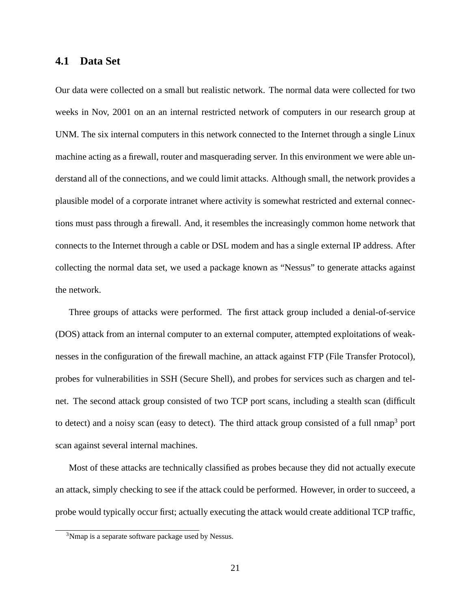#### **4.1 Data Set**

Our data were collected on a small but realistic network. The normal data were collected for two weeks in Nov, 2001 on an an internal restricted network of computers in our research group at UNM. The six internal computers in this network connected to the Internet through a single Linux machine acting as a firewall, router and masquerading server. In this environment we were able understand all of the connections, and we could limit attacks. Although small, the network provides a plausible model of a corporate intranet where activity is somewhat restricted and external connections must pass through a firewall. And, it resembles the increasingly common home network that connects to the Internet through a cable or DSL modem and has a single external IP address. After collecting the normal data set, we used a package known as "Nessus" to generate attacks against the network.

Three groups of attacks were performed. The first attack group included a denial-of-service (DOS) attack from an internal computer to an external computer, attempted exploitations of weaknesses in the configuration of the firewall machine, an attack against FTP (File Transfer Protocol), probes for vulnerabilities in SSH (Secure Shell), and probes for services such as chargen and telnet. The second attack group consisted of two TCP port scans, including a stealth scan (difficult to detect) and a noisy scan (easy to detect). The third attack group consisted of a full  $nmap<sup>3</sup>$  port scan against several internal machines.

Most of these attacks are technically classified as probes because they did not actually execute an attack, simply checking to see if the attack could be performed. However, in order to succeed, a probe would typically occur first; actually executing the attack would create additional TCP traffic,

<sup>&</sup>lt;sup>3</sup>Nmap is a separate software package used by Nessus.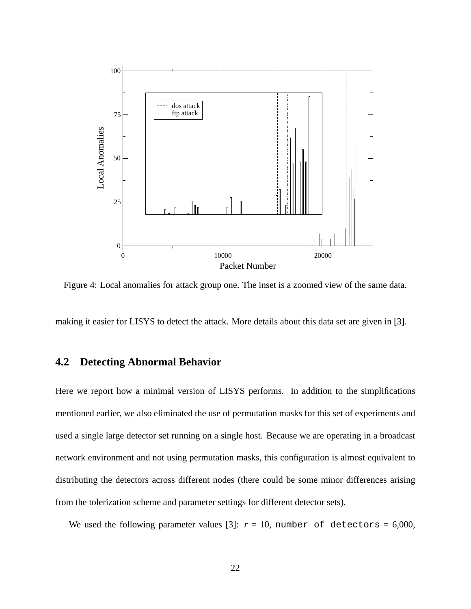

Figure 4: Local anomalies for attack group one. The inset is a zoomed view of the same data.

making it easier for LISYS to detect the attack. More details about this data set are given in [3].

#### **4.2 Detecting Abnormal Behavior**

Here we report how a minimal version of LISYS performs. In addition to the simplifications mentioned earlier, we also eliminated the use of permutation masks for this set of experiments and used a single large detector set running on a single host. Because we are operating in a broadcast network environment and not using permutation masks, this configuration is almost equivalent to distributing the detectors across different nodes (there could be some minor differences arising from the tolerization scheme and parameter settings for different detector sets).

We used the following parameter values [3]:  $r = 10$ , number of detectors = 6,000,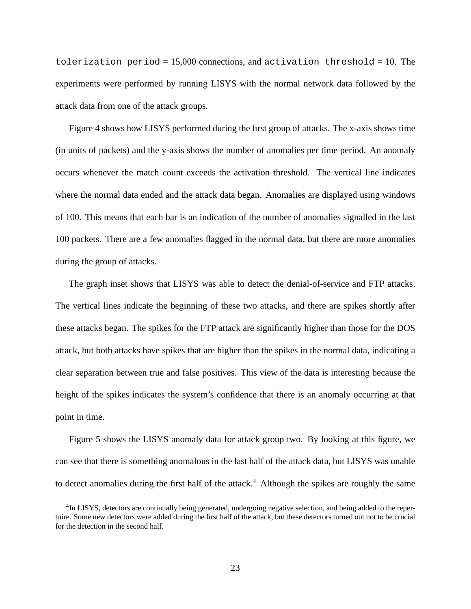tolerization period =  $15,000$  connections, and activation threshold = 10. The experiments were performed by running LISYS with the normal network data followed by the attack data from one of the attack groups.

Figure 4 shows how LISYS performed during the first group of attacks. The x-axis shows time (in units of packets) and the y-axis shows the number of anomalies per time period. An anomaly occurs whenever the match count exceeds the activation threshold. The vertical line indicates where the normal data ended and the attack data began. Anomalies are displayed using windows of 100. This means that each bar is an indication of the number of anomalies signalled in the last 100 packets. There are a few anomalies flagged in the normal data, but there are more anomalies during the group of attacks.

The graph inset shows that LISYS was able to detect the denial-of-service and FTP attacks. The vertical lines indicate the beginning of these two attacks, and there are spikes shortly after these attacks began. The spikes for the FTP attack are significantly higher than those for the DOS attack, but both attacks have spikes that are higher than the spikes in the normal data, indicating a clear separation between true and false positives. This view of the data is interesting because the height of the spikes indicates the system's confidence that there is an anomaly occurring at that point in time.

Figure 5 shows the LISYS anomaly data for attack group two. By looking at this figure, we can see that there is something anomalous in the last half of the attack data, but LISYS was unable to detect anomalies during the first half of the attack.<sup>4</sup> Although the spikes are roughly the same

<sup>&</sup>lt;sup>4</sup>In LISYS, detectors are continually being generated, undergoing negative selection, and being added to the repertoire. Some new detectors were added during the first half of the attack, but these detectors turned out not to be crucial for the detection in the second half.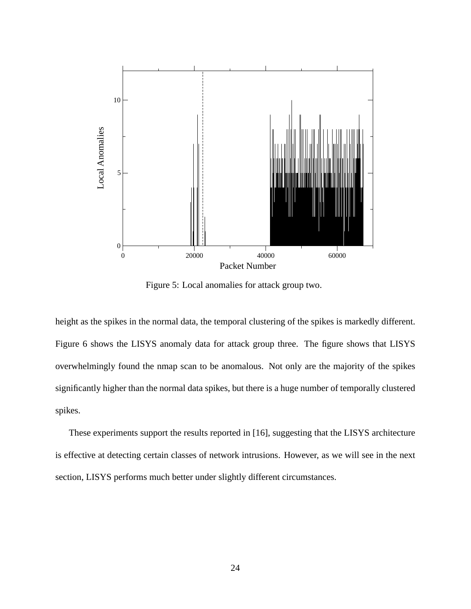

Figure 5: Local anomalies for attack group two.

height as the spikes in the normal data, the temporal clustering of the spikes is markedly different. Figure 6 shows the LISYS anomaly data for attack group three. The figure shows that LISYS overwhelmingly found the nmap scan to be anomalous. Not only are the majority of the spikes significantly higher than the normal data spikes, but there is a huge number of temporally clustered spikes.

These experiments support the results reported in [16], suggesting that the LISYS architecture is effective at detecting certain classes of network intrusions. However, as we will see in the next section, LISYS performs much better under slightly different circumstances.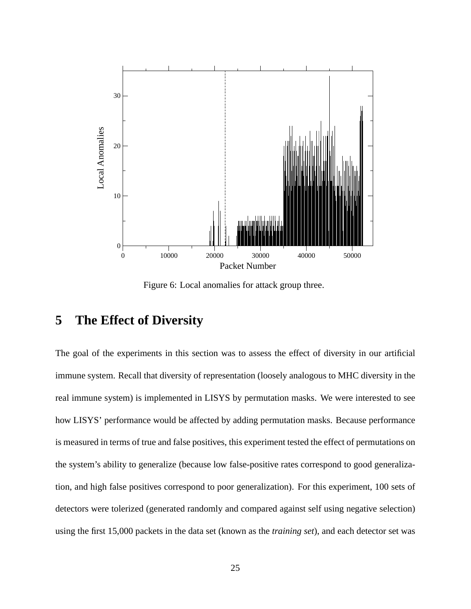

Figure 6: Local anomalies for attack group three.

## **5 The Effect of Diversity**

The goal of the experiments in this section was to assess the effect of diversity in our artificial immune system. Recall that diversity of representation (loosely analogous to MHC diversity in the real immune system) is implemented in LISYS by permutation masks. We were interested to see how LISYS' performance would be affected by adding permutation masks. Because performance is measured in terms of true and false positives, this experiment tested the effect of permutations on the system's ability to generalize (because low false-positive rates correspond to good generalization, and high false positives correspond to poor generalization). For this experiment, 100 sets of detectors were tolerized (generated randomly and compared against self using negative selection) using the first 15,000 packets in the data set (known as the *training set*), and each detector set was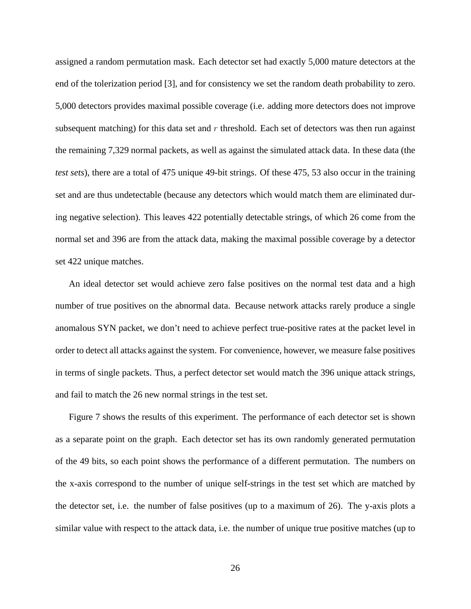assigned a random permutation mask. Each detector set had exactly 5,000 mature detectors at the end of the tolerization period [3], and for consistency we set the random death probability to zero. 5,000 detectors provides maximal possible coverage (i.e. adding more detectors does not improve subsequent matching) for this data set and  $r$  threshold. Each set of detectors was then run against the remaining 7,329 normal packets, as well as against the simulated attack data. In these data (the *test sets*), there are a total of 475 unique 49-bit strings. Of these 475, 53 also occur in the training set and are thus undetectable (because any detectors which would match them are eliminated during negative selection). This leaves 422 potentially detectable strings, of which 26 come from the normal set and 396 are from the attack data, making the maximal possible coverage by a detector set 422 unique matches.

An ideal detector set would achieve zero false positives on the normal test data and a high number of true positives on the abnormal data. Because network attacks rarely produce a single anomalous SYN packet, we don't need to achieve perfect true-positive rates at the packet level in order to detect all attacks against the system. For convenience, however, we measure false positives in terms of single packets. Thus, a perfect detector set would match the 396 unique attack strings, and fail to match the 26 new normal strings in the test set.

Figure 7 shows the results of this experiment. The performance of each detector set is shown as a separate point on the graph. Each detector set has its own randomly generated permutation of the 49 bits, so each point shows the performance of a different permutation. The numbers on the x-axis correspond to the number of unique self-strings in the test set which are matched by the detector set, i.e. the number of false positives (up to a maximum of 26). The y-axis plots a similar value with respect to the attack data, i.e. the number of unique true positive matches (up to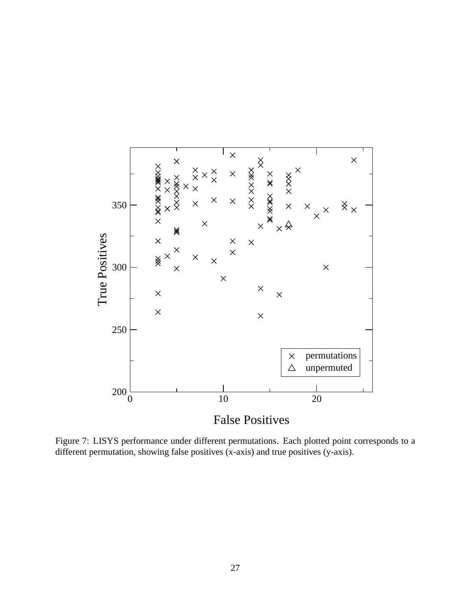

Figure 7: LISYS performance under different permutations. Each plotted point corresponds to a different permutation, showing false positives (x-axis) and true positives (y-axis).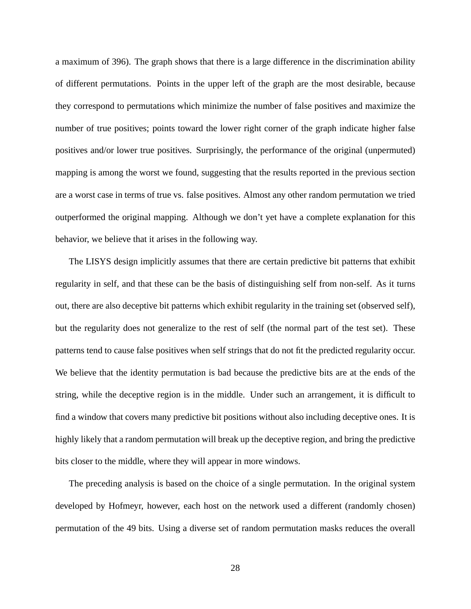a maximum of 396). The graph shows that there is a large difference in the discrimination ability of different permutations. Points in the upper left of the graph are the most desirable, because they correspond to permutations which minimize the number of false positives and maximize the number of true positives; points toward the lower right corner of the graph indicate higher false positives and/or lower true positives. Surprisingly, the performance of the original (unpermuted) mapping is among the worst we found, suggesting that the results reported in the previous section are a worst case in terms of true vs. false positives. Almost any other random permutation we tried outperformed the original mapping. Although we don't yet have a complete explanation for this behavior, we believe that it arises in the following way.

The LISYS design implicitly assumes that there are certain predictive bit patterns that exhibit regularity in self, and that these can be the basis of distinguishing self from non-self. As it turns out, there are also deceptive bit patterns which exhibit regularity in the training set (observed self), but the regularity does not generalize to the rest of self (the normal part of the test set). These patterns tend to cause false positives when self strings that do not fit the predicted regularity occur. We believe that the identity permutation is bad because the predictive bits are at the ends of the string, while the deceptive region is in the middle. Under such an arrangement, it is difficult to find a window that covers many predictive bit positions without also including deceptive ones. It is highly likely that a random permutation will break up the deceptive region, and bring the predictive bits closer to the middle, where they will appear in more windows.

The preceding analysis is based on the choice of a single permutation. In the original system developed by Hofmeyr, however, each host on the network used a different (randomly chosen) permutation of the 49 bits. Using a diverse set of random permutation masks reduces the overall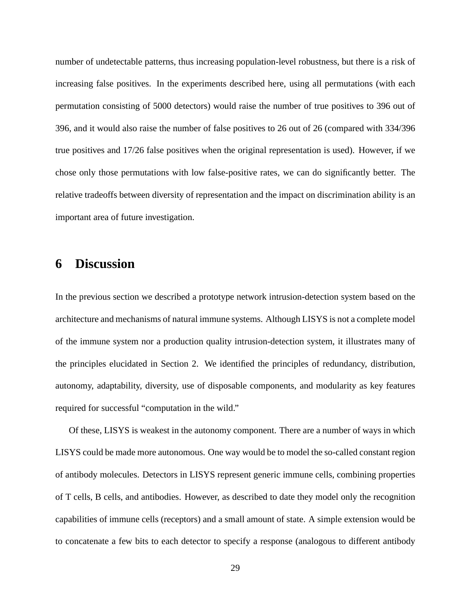number of undetectable patterns, thus increasing population-level robustness, but there is a risk of increasing false positives. In the experiments described here, using all permutations (with each permutation consisting of 5000 detectors) would raise the number of true positives to 396 out of 396, and it would also raise the number of false positives to 26 out of 26 (compared with 334/396 true positives and 17/26 false positives when the original representation is used). However, if we chose only those permutations with low false-positive rates, we can do significantly better. The relative tradeoffs between diversity of representation and the impact on discrimination ability is an important area of future investigation.

## **6 Discussion**

In the previous section we described a prototype network intrusion-detection system based on the architecture and mechanisms of natural immune systems. Although LISYS is not a complete model of the immune system nor a production quality intrusion-detection system, it illustrates many of the principles elucidated in Section 2. We identified the principles of redundancy, distribution, autonomy, adaptability, diversity, use of disposable components, and modularity as key features required for successful "computation in the wild."

Of these, LISYS is weakest in the autonomy component. There are a number of ways in which LISYS could be made more autonomous. One way would be to model the so-called constant region of antibody molecules. Detectors in LISYS represent generic immune cells, combining properties of T cells, B cells, and antibodies. However, as described to date they model only the recognition capabilities of immune cells (receptors) and a small amount of state. A simple extension would be to concatenate a few bits to each detector to specify a response (analogous to different antibody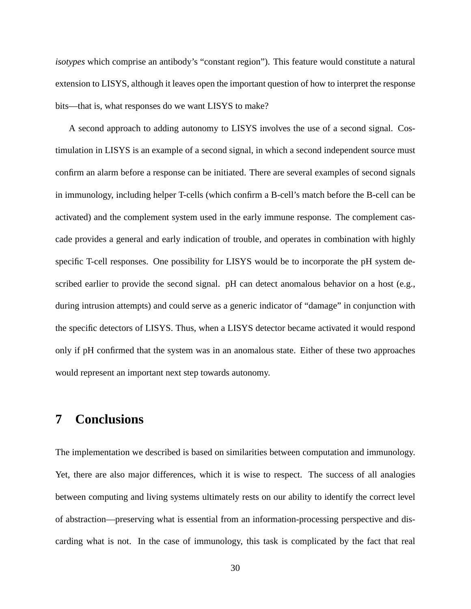*isotypes* which comprise an antibody's "constant region"). This feature would constitute a natural extension to LISYS, although it leaves open the important question of how to interpret the response bits—that is, what responses do we want LISYS to make?

A second approach to adding autonomy to LISYS involves the use of a second signal. Costimulation in LISYS is an example of a second signal, in which a second independent source must confirm an alarm before a response can be initiated. There are several examples of second signals in immunology, including helper T-cells (which confirm a B-cell's match before the B-cell can be activated) and the complement system used in the early immune response. The complement cascade provides a general and early indication of trouble, and operates in combination with highly specific T-cell responses. One possibility for LISYS would be to incorporate the pH system described earlier to provide the second signal. pH can detect anomalous behavior on a host (e.g., during intrusion attempts) and could serve as a generic indicator of "damage" in conjunction with the specific detectors of LISYS. Thus, when a LISYS detector became activated it would respond only if pH confirmed that the system was in an anomalous state. Either of these two approaches would represent an important next step towards autonomy.

### **7 Conclusions**

The implementation we described is based on similarities between computation and immunology. Yet, there are also major differences, which it is wise to respect. The success of all analogies between computing and living systems ultimately rests on our ability to identify the correct level of abstraction—preserving what is essential from an information-processing perspective and discarding what is not. In the case of immunology, this task is complicated by the fact that real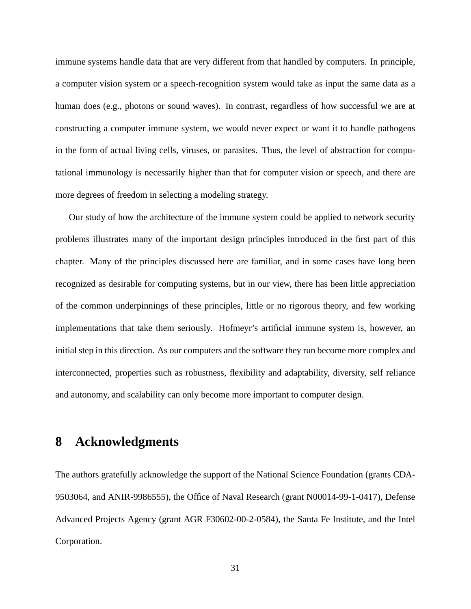immune systems handle data that are very different from that handled by computers. In principle, a computer vision system or a speech-recognition system would take as input the same data as a human does (e.g., photons or sound waves). In contrast, regardless of how successful we are at constructing a computer immune system, we would never expect or want it to handle pathogens in the form of actual living cells, viruses, or parasites. Thus, the level of abstraction for computational immunology is necessarily higher than that for computer vision or speech, and there are more degrees of freedom in selecting a modeling strategy.

Our study of how the architecture of the immune system could be applied to network security problems illustrates many of the important design principles introduced in the first part of this chapter. Many of the principles discussed here are familiar, and in some cases have long been recognized as desirable for computing systems, but in our view, there has been little appreciation of the common underpinnings of these principles, little or no rigorous theory, and few working implementations that take them seriously. Hofmeyr's artificial immune system is, however, an initial step in this direction. As our computers and the software they run become more complex and interconnected, properties such as robustness, flexibility and adaptability, diversity, self reliance and autonomy, and scalability can only become more important to computer design.

### **8 Acknowledgments**

The authors gratefully acknowledge the support of the National Science Foundation (grants CDA-9503064, and ANIR-9986555), the Office of Naval Research (grant N00014-99-1-0417), Defense Advanced Projects Agency (grant AGR F30602-00-2-0584), the Santa Fe Institute, and the Intel Corporation.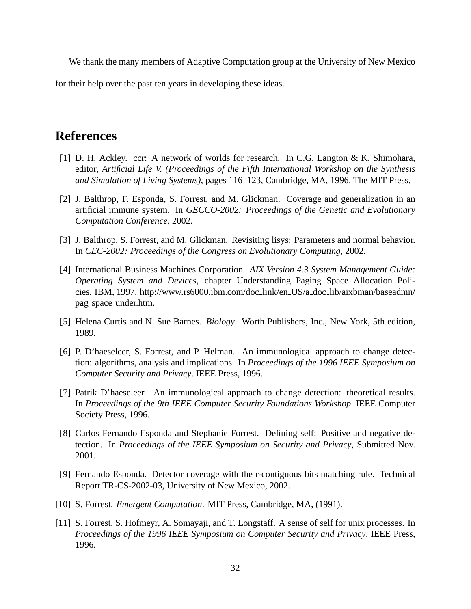We thank the many members of Adaptive Computation group at the University of New Mexico

for their help over the past ten years in developing these ideas.

## **References**

- [1] D. H. Ackley. ccr: A network of worlds for research. In C.G. Langton & K. Shimohara, editor, *Artificial Life V. (Proceedings of the Fifth International Workshop on the Synthesis and Simulation of Living Systems)*, pages 116–123, Cambridge, MA, 1996. The MIT Press.
- [2] J. Balthrop, F. Esponda, S. Forrest, and M. Glickman. Coverage and generalization in an artificial immune system. In *GECCO-2002: Proceedings of the Genetic and Evolutionary Computation Conference*, 2002.
- [3] J. Balthrop, S. Forrest, and M. Glickman. Revisiting lisys: Parameters and normal behavior. In *CEC-2002: Proceedings of the Congress on Evolutionary Computing*, 2002.
- [4] International Business Machines Corporation. *AIX Version 4.3 System Management Guide: Operating System and Devices*, chapter Understanding Paging Space Allocation Policies. IBM, 1997. http://www.rs6000.ibm.com/doc link/en US/a doc lib/aixbman/baseadmn/ pag space under.htm.
- [5] Helena Curtis and N. Sue Barnes. *Biology*. Worth Publishers, Inc., New York, 5th edition, 1989.
- [6] P. D'haeseleer, S. Forrest, and P. Helman. An immunological approach to change detection: algorithms, analysis and implications. In *Proceedings of the 1996 IEEE Symposium on Computer Security and Privacy*. IEEE Press, 1996.
- [7] Patrik D'haeseleer. An immunological approach to change detection: theoretical results. In *Proceedings of the 9th IEEE Computer Security Foundations Workshop*. IEEE Computer Society Press, 1996.
- [8] Carlos Fernando Esponda and Stephanie Forrest. Defining self: Positive and negative detection. In *Proceedings of the IEEE Symposium on Security and Privacy*, Submitted Nov. 2001.
- [9] Fernando Esponda. Detector coverage with the r-contiguous bits matching rule. Technical Report TR-CS-2002-03, University of New Mexico, 2002.
- [10] S. Forrest. *Emergent Computation*. MIT Press, Cambridge, MA, (1991).
- [11] S. Forrest, S. Hofmeyr, A. Somayaji, and T. Longstaff. A sense of self for unix processes. In *Proceedings of the 1996 IEEE Symposium on Computer Security and Privacy*. IEEE Press, 1996.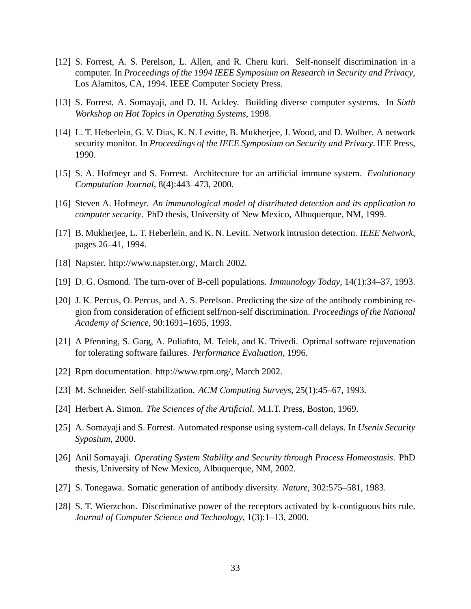- [12] S. Forrest, A. S. Perelson, L. Allen, and R. Cheru kuri. Self-nonself discrimination in a computer. In *Proceedings of the 1994 IEEE Symposium on Research in Security and Privacy*, Los Alamitos, CA, 1994. IEEE Computer Society Press.
- [13] S. Forrest, A. Somayaji, and D. H. Ackley. Building diverse computer systems. In *Sixth Workshop on Hot Topics in Operating Systems*, 1998.
- [14] L. T. Heberlein, G. V. Dias, K. N. Levitte, B. Mukherjee, J. Wood, and D. Wolber. A network security monitor. In *Proceedings of the IEEE Symposium on Security and Privacy*. IEE Press, 1990.
- [15] S. A. Hofmeyr and S. Forrest. Architecture for an artificial immune system. *Evolutionary Computation Journal*, 8(4):443–473, 2000.
- [16] Steven A. Hofmeyr. *An immunological model of distributed detection and its application to computer security*. PhD thesis, University of New Mexico, Albuquerque, NM, 1999.
- [17] B. Mukherjee, L. T. Heberlein, and K. N. Levitt. Network intrusion detection. *IEEE Network*, pages 26–41, 1994.
- [18] Napster. http://www.napster.org/, March 2002.
- [19] D. G. Osmond. The turn-over of B-cell populations. *Immunology Today*, 14(1):34–37, 1993.
- [20] J. K. Percus, O. Percus, and A. S. Perelson. Predicting the size of the antibody combining region from consideration of efficient self/non-self discrimination. *Proceedings of the National Academy of Science*, 90:1691–1695, 1993.
- [21] A Pfenning, S. Garg, A. Puliafito, M. Telek, and K. Trivedi. Optimal software rejuvenation for tolerating software failures. *Performance Evaluation*, 1996.
- [22] Rpm documentation. http://www.rpm.org/, March 2002.
- [23] M. Schneider. Self-stabilization. *ACM Computing Surveys*, 25(1):45–67, 1993.
- [24] Herbert A. Simon. *The Sciences of the Artificial*. M.I.T. Press, Boston, 1969.
- [25] A. Somayaji and S. Forrest. Automated response using system-call delays. In *Usenix Security Syposium*, 2000.
- [26] Anil Somayaji. *Operating System Stability and Security through Process Homeostasis*. PhD thesis, University of New Mexico, Albuquerque, NM, 2002.
- [27] S. Tonegawa. Somatic generation of antibody diversity. *Nature*, 302:575–581, 1983.
- [28] S. T. Wierzchon. Discriminative power of the receptors activated by k-contiguous bits rule. *Journal of Computer Science and Technology*, 1(3):1–13, 2000.